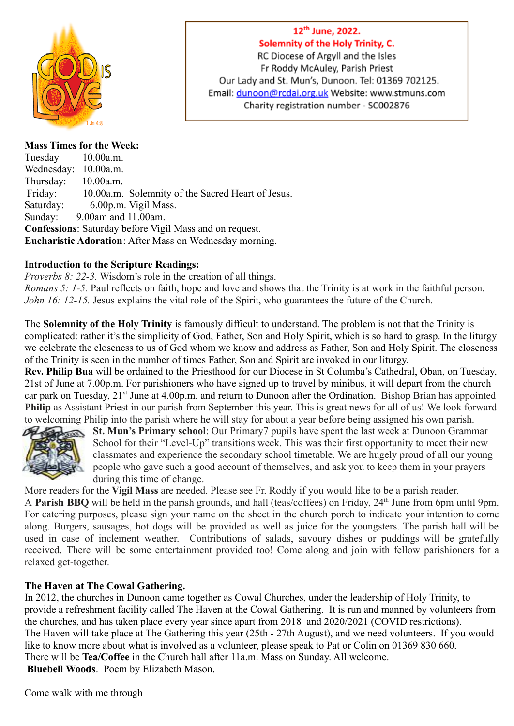

## 12<sup>th</sup> June, 2022. Solemnity of the Holy Trinity, C.

RC Diocese of Argyll and the Isles Fr Roddy McAuley, Parish Priest Our Lady and St. Mun's, Dunoon. Tel: 01369 702125. Email: dunoon@rcdai.org.uk Website: www.stmuns.com Charity registration number - SC002876

## **Mass Times for the Week:**

Tuesday 10.00a.m. Wednesday: 10.00a.m. Thursday: 10.00a.m. Friday: 10.00a.m. Solemnity of the Sacred Heart of Jesus. Saturday: 6.00p.m. Vigil Mass. Sunday: 9.00am and 11.00am. **Confessions**: Saturday before Vigil Mass and on request. **Eucharistic Adoration**: After Mass on Wednesday morning.

## **Introduction to the Scripture Readings:**

*Proverbs 8: 22-3.* Wisdom's role in the creation of all things. *Romans 5: 1-5.* Paul reflects on faith, hope and love and shows that the Trinity is at work in the faithful person.

*John 16: 12-15.* Jesus explains the vital role of the Spirit, who guarantees the future of the Church.

The **Solemnity of the Holy Trinity** is famously difficult to understand. The problem is not that the Trinity is complicated: rather it's the simplicity of God, Father, Son and Holy Spirit, which is so hard to grasp. In the liturgy we celebrate the closeness to us of God whom we know and address as Father, Son and Holy Spirit. The closeness of the Trinity is seen in the number of times Father, Son and Spirit are invoked in our liturgy.

**Rev. Philip Bua** will be ordained to the Priesthood for our Diocese in St Columba's Cathedral, Oban, on Tuesday, 21st of June at 7.00p.m. For parishioners who have signed up to travel by minibus, it will depart from the church car park on Tuesday, 21<sup>st</sup> June at 4.00p.m. and return to Dunoon after the Ordination. Bishop Brian has appointed **Philip** as Assistant Priest in our parish from September this year. This is great news for all of us! We look forward to welcoming Philip into the parish where he will stay for about a year before being assigned his own parish.



**St. Mun's Primary school**: Our Primary7 pupils have spent the last week at Dunoon Grammar School for their "Level-Up" transitions week. This was their first opportunity to meet their new classmates and experience the secondary school timetable. We are hugely proud of all our young people who gave such a good account of themselves, and ask you to keep them in your prayers during this time of change.

More readers for the **Vigil Mass** are needed. Please see Fr. Roddy if you would like to be a parish reader.

A **Parish BBQ** will be held in the parish grounds, and hall (teas/coffees) on Friday, 24th June from 6pm until 9pm. For catering purposes, please sign your name on the sheet in the church porch to indicate your intention to come along. Burgers, sausages, hot dogs will be provided as well as juice for the youngsters. The parish hall will be used in case of inclement weather. Contributions of salads, savoury dishes or puddings will be gratefully received. There will be some entertainment provided too! Come along and join with fellow parishioners for a relaxed get-together.

## **The Haven at The Cowal Gathering.**

In 2012, the churches in Dunoon came together as Cowal Churches, under the leadership of Holy Trinity, to provide a refreshment facility called The Haven at the Cowal Gathering. It is run and manned by volunteers from the churches, and has taken place every year since apart from 2018 and 2020/2021 (COVID restrictions). The Haven will take place at The Gathering this year (25th - 27th August), and we need volunteers. If you would like to know more about what is involved as a volunteer, please speak to Pat or Colin on 01369 830 660. There will be **Tea/Coffee** in the Church hall after 11a.m. Mass on Sunday. All welcome. **Bluebell Woods**. Poem by Elizabeth Mason.